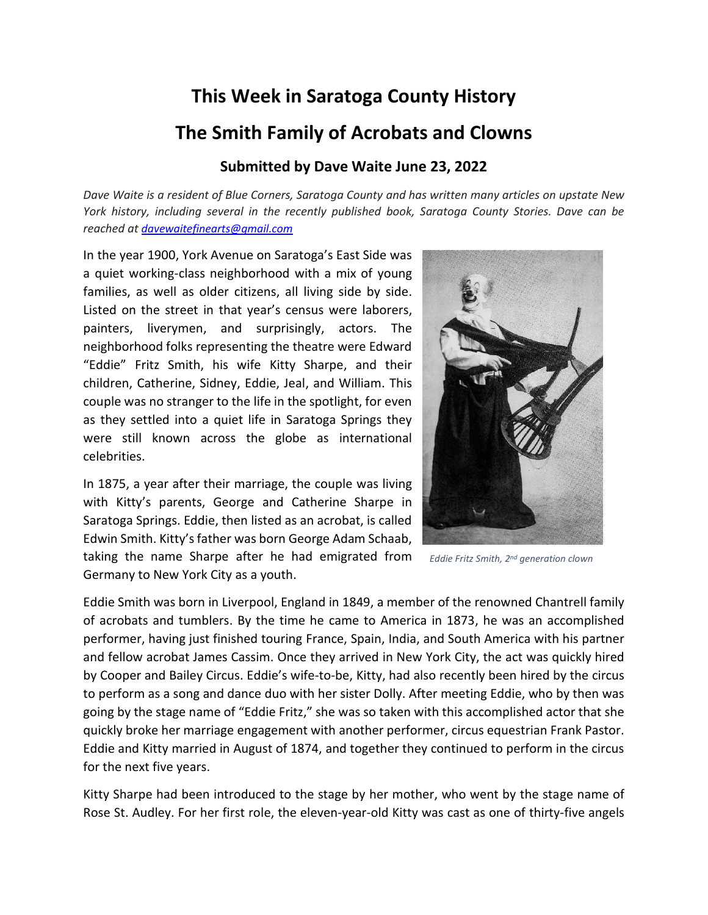## **This Week in Saratoga County History**

## **The Smith Family of Acrobats and Clowns**

## **Submitted by Dave Waite June 23, 2022**

*Dave Waite is a resident of Blue Corners, Saratoga County and has written many articles on upstate New York history, including several in the recently published book, Saratoga County Stories. Dave can be reached at [davewaitefinearts@gmail.com](mailto:davewaitefinearts@gmail.com)*

In the year 1900, York Avenue on Saratoga's East Side was a quiet working-class neighborhood with a mix of young families, as well as older citizens, all living side by side. Listed on the street in that year's census were laborers, painters, liverymen, and surprisingly, actors. The neighborhood folks representing the theatre were Edward "Eddie" Fritz Smith, his wife Kitty Sharpe, and their children, Catherine, Sidney, Eddie, Jeal, and William. This couple was no stranger to the life in the spotlight, for even as they settled into a quiet life in Saratoga Springs they were still known across the globe as international celebrities.

In 1875, a year after their marriage, the couple was living with Kitty's parents, George and Catherine Sharpe in Saratoga Springs. Eddie, then listed as an acrobat, is called Edwin Smith. Kitty's father was born George Adam Schaab, taking the name Sharpe after he had emigrated from Germany to New York City as a youth.



 *Eddie Fritz Smith, 2nd generation clown*

Eddie Smith was born in Liverpool, England in 1849, a member of the renowned Chantrell family of acrobats and tumblers. By the time he came to America in 1873, he was an accomplished performer, having just finished touring France, Spain, India, and South America with his partner and fellow acrobat James Cassim. Once they arrived in New York City, the act was quickly hired by Cooper and Bailey Circus. Eddie's wife-to-be, Kitty, had also recently been hired by the circus to perform as a song and dance duo with her sister Dolly. After meeting Eddie, who by then was going by the stage name of "Eddie Fritz," she was so taken with this accomplished actor that she quickly broke her marriage engagement with another performer, circus equestrian Frank Pastor. Eddie and Kitty married in August of 1874, and together they continued to perform in the circus for the next five years.

Kitty Sharpe had been introduced to the stage by her mother, who went by the stage name of Rose St. Audley. For her first role, the eleven-year-old Kitty was cast as one of thirty-five angels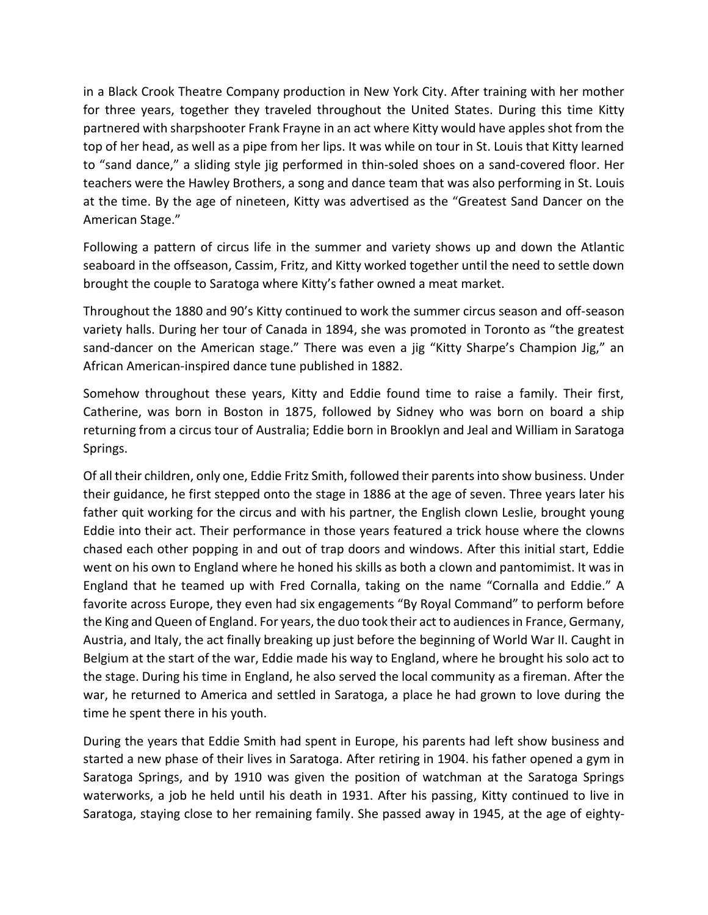in a Black Crook Theatre Company production in New York City. After training with her mother for three years, together they traveled throughout the United States. During this time Kitty partnered with sharpshooter Frank Frayne in an act where Kitty would have apples shot from the top of her head, as well as a pipe from her lips. It was while on tour in St. Louis that Kitty learned to "sand dance," a sliding style jig performed in thin-soled shoes on a sand-covered floor. Her teachers were the Hawley Brothers, a song and dance team that was also performing in St. Louis at the time. By the age of nineteen, Kitty was advertised as the "Greatest Sand Dancer on the American Stage."

Following a pattern of circus life in the summer and variety shows up and down the Atlantic seaboard in the offseason, Cassim, Fritz, and Kitty worked together until the need to settle down brought the couple to Saratoga where Kitty's father owned a meat market.

Throughout the 1880 and 90's Kitty continued to work the summer circus season and off-season variety halls. During her tour of Canada in 1894, she was promoted in Toronto as "the greatest sand-dancer on the American stage." There was even a jig "Kitty Sharpe's Champion Jig," an African American-inspired dance tune published in 1882.

Somehow throughout these years, Kitty and Eddie found time to raise a family. Their first, Catherine, was born in Boston in 1875, followed by Sidney who was born on board a ship returning from a circus tour of Australia; Eddie born in Brooklyn and Jeal and William in Saratoga Springs.

Of all their children, only one, Eddie Fritz Smith, followed their parents into show business. Under their guidance, he first stepped onto the stage in 1886 at the age of seven. Three years later his father quit working for the circus and with his partner, the English clown Leslie, brought young Eddie into their act. Their performance in those years featured a trick house where the clowns chased each other popping in and out of trap doors and windows. After this initial start, Eddie went on his own to England where he honed his skills as both a clown and pantomimist. It was in England that he teamed up with Fred Cornalla, taking on the name "Cornalla and Eddie." A favorite across Europe, they even had six engagements "By Royal Command" to perform before the King and Queen of England. For years, the duo took their act to audiences in France, Germany, Austria, and Italy, the act finally breaking up just before the beginning of World War II. Caught in Belgium at the start of the war, Eddie made his way to England, where he brought his solo act to the stage. During his time in England, he also served the local community as a fireman. After the war, he returned to America and settled in Saratoga, a place he had grown to love during the time he spent there in his youth.

During the years that Eddie Smith had spent in Europe, his parents had left show business and started a new phase of their lives in Saratoga. After retiring in 1904. his father opened a gym in Saratoga Springs, and by 1910 was given the position of watchman at the Saratoga Springs waterworks, a job he held until his death in 1931. After his passing, Kitty continued to live in Saratoga, staying close to her remaining family. She passed away in 1945, at the age of eighty